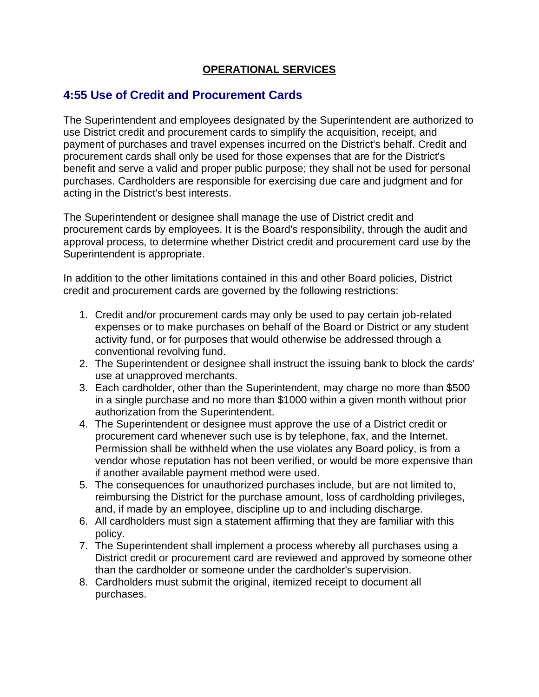## **OPERATIONAL SERVICES**

## **4:55 Use of Credit and Procurement Cards**

The Superintendent and employees designated by the Superintendent are authorized to use District credit and procurement cards to simplify the acquisition, receipt, and payment of purchases and travel expenses incurred on the District's behalf. Credit and procurement cards shall only be used for those expenses that are for the District's benefit and serve a valid and proper public purpose; they shall not be used for personal purchases. Cardholders are responsible for exercising due care and judgment and for acting in the District's best interests.

The Superintendent or designee shall manage the use of District credit and procurement cards by employees. It is the Board's responsibility, through the audit and approval process, to determine whether District credit and procurement card use by the Superintendent is appropriate.

In addition to the other limitations contained in this and other Board policies, District credit and procurement cards are governed by the following restrictions:

- 1. Credit and/or procurement cards may only be used to pay certain job-related expenses or to make purchases on behalf of the Board or District or any student activity fund, or for purposes that would otherwise be addressed through a conventional revolving fund.
- 2. The Superintendent or designee shall instruct the issuing bank to block the cards' use at unapproved merchants.
- 3. Each cardholder, other than the Superintendent, may charge no more than \$500 in a single purchase and no more than \$1000 within a given month without prior authorization from the Superintendent.
- 4. The Superintendent or designee must approve the use of a District credit or procurement card whenever such use is by telephone, fax, and the Internet. Permission shall be withheld when the use violates any Board policy, is from a vendor whose reputation has not been verified, or would be more expensive than if another available payment method were used.
- 5. The consequences for unauthorized purchases include, but are not limited to, reimbursing the District for the purchase amount, loss of cardholding privileges, and, if made by an employee, discipline up to and including discharge.
- 6. All cardholders must sign a statement affirming that they are familiar with this policy.
- 7. The Superintendent shall implement a process whereby all purchases using a District credit or procurement card are reviewed and approved by someone other than the cardholder or someone under the cardholder's supervision.
- 8. Cardholders must submit the original, itemized receipt to document all purchases.